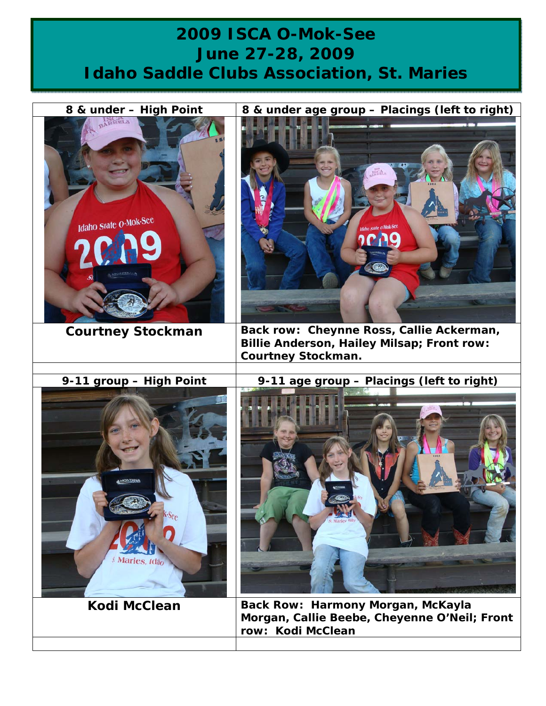## **2009 ISCA O-Mok-See June 27-28, 2009 Idaho Saddle Clubs Association, St. Maries**

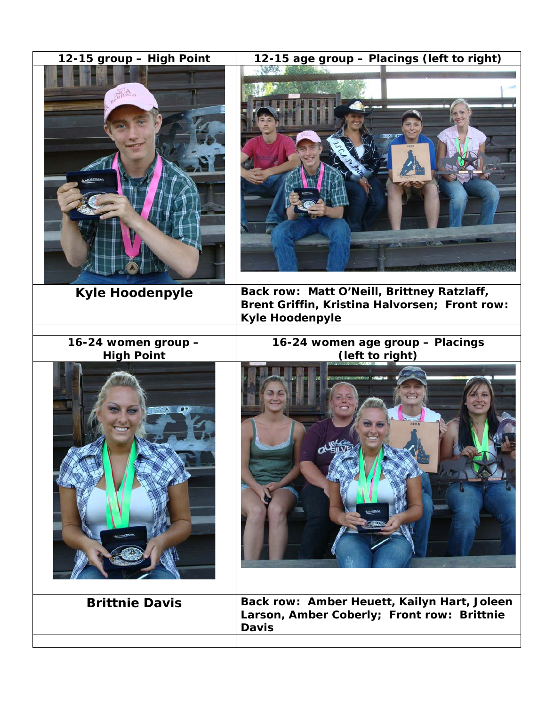| 12-15 group - High Point                 | 12-15 age group - Placings (left to right)                                                                            |
|------------------------------------------|-----------------------------------------------------------------------------------------------------------------------|
| <b>PRELS</b><br><b>MODELIANS</b>         |                                                                                                                       |
| <b>Kyle Hoodenpyle</b>                   | Back row: Matt O'Neill, Brittney Ratzlaff,<br>Brent Griffin, Kristina Halvorsen; Front row:<br><b>Kyle Hoodenpyle</b> |
| 16-24 women group -<br><b>High Point</b> | 16-24 women age group - Placings<br>(left to right)                                                                   |
|                                          |                                                                                                                       |
| <b>Brittnie Davis</b>                    | Back row: Amber Heuett, Kailyn Hart, Joleen<br>Larson, Amber Coberly; Front row: Brittnie<br><b>Davis</b>             |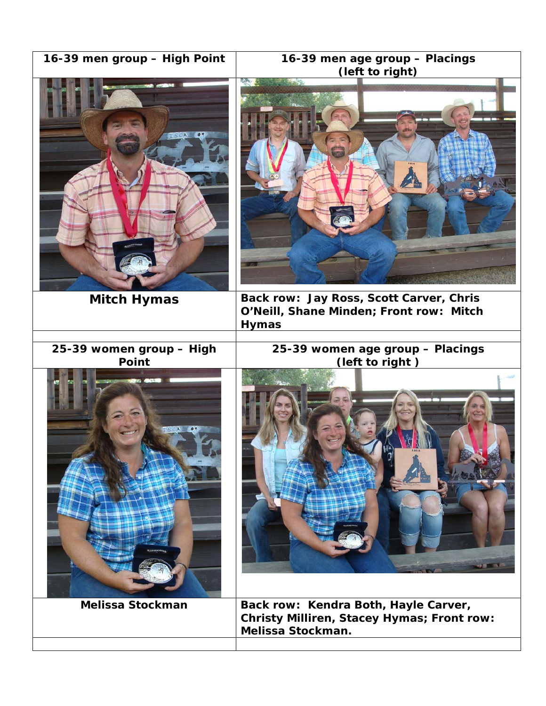| 16-39 men group - High Point | 16-39 men age group - Placings<br>(left to right)                                                       |
|------------------------------|---------------------------------------------------------------------------------------------------------|
|                              |                                                                                                         |
| <b>Mitch Hymas</b>           | Back row: Jay Ross, Scott Carver, Chris<br>O'Neill, Shane Minden; Front row: Mitch<br><b>Hymas</b>      |
| 25-39 women group - High     | 25-39 women age group - Placings                                                                        |
| Point                        | (left to right)                                                                                         |
|                              | 99 国                                                                                                    |
| <b>Melissa Stockman</b>      | Back row: Kendra Both, Hayle Carver,<br>Christy Milliren, Stacey Hymas; Front row:<br>Melissa Stockman. |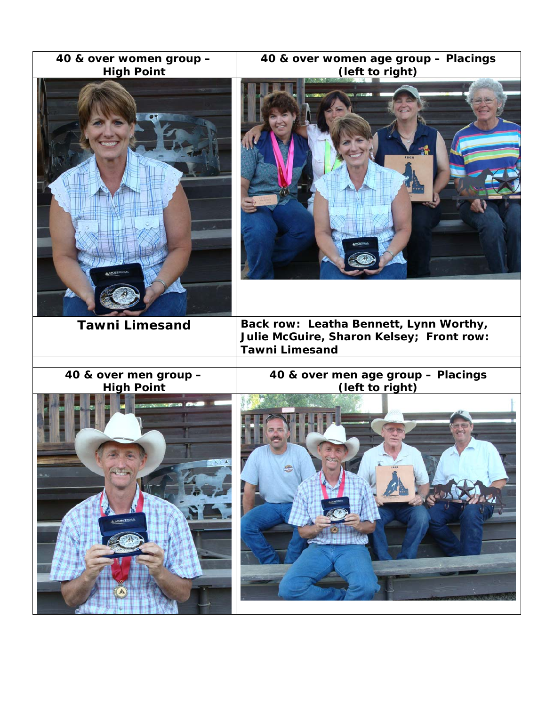| 40 & over women age group - Placings                                                                        |
|-------------------------------------------------------------------------------------------------------------|
| (left to right)                                                                                             |
| Back row: Leatha Bennett, Lynn Worthy,<br>Julie McGuire, Sharon Kelsey; Front row:<br><b>Tawni Limesand</b> |
|                                                                                                             |
| 40 & over men age group - Placings<br>(left to right)                                                       |
|                                                                                                             |
|                                                                                                             |